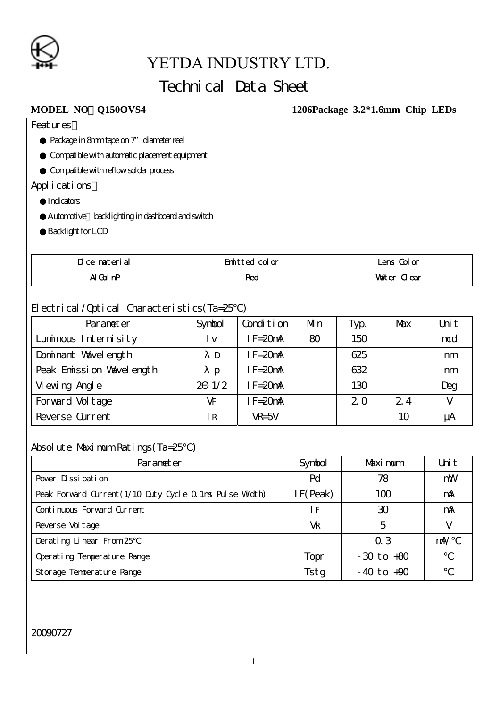

## Technical Data Sheet

#### **MODEL NO**:**Q150OVS4 1206Package 3.2\*1.6mm Chip LEDs**

**Features** 

Package in 8mm tape on 7" diameter reel

Compatible with automatic placement equipment

Compatible with reflow solder process

Applications

**Indicators** 

Automotive backlighting in dashboard and switch

**Backlight for LCD** 

| Dice material | Emitted color | Lens Color  |
|---------------|---------------|-------------|
| AI Gal nP     | Red           | Water Clear |

#### Electrical/Optical Characteristics(Ta=25)

| Parameter                | Symbol                  | Condition   | Mn | Typ. | Max | Uni t  |
|--------------------------|-------------------------|-------------|----|------|-----|--------|
| Luminous Internisity     | $\mathsf{I} \mathsf{V}$ | $IF = 20mA$ | 80 | 150  |     | mcd    |
| Dominant Wavelength      | D                       | $IF = 20mA$ |    | 625  |     | nm     |
| Peak Emission Vavelength | Ŋ                       | IF=20mA     |    | 632  |     | nm     |
| Vi ewing Angl e          | $2 \frac{1}{2}$         | $IF = 20mA$ |    | 130  |     | Deg    |
| Forward Vol tage         | VF                      | $F = 20mA$  |    | 20   | 2.4 | $\vee$ |
| Reverse Current          | l R                     | $VR = 5V$   |    |      | 10  | μA     |

#### Absolute Maximum Ratings(Ta=25)

| Parameter                                                | Symbol   | Maximum        | Uni t |
|----------------------------------------------------------|----------|----------------|-------|
| Pover Dissipation                                        | Pd       | 78             | mW    |
| Peak Forward Current (1/10 Duty Cycle 0.1ms Pulse Width) | IF(Peak) | 100            | mA    |
| Continuous Forward Current                               | I F      | 30             | mA    |
| Reverse Vol tage                                         | VR       | 5              |       |
| Derating Linear From 25                                  |          | 0.3            | m∿    |
| Operating Temperature Range                              | Topr     | $-30$ to $+80$ |       |
| Storage Temperature Range                                | Tstg     | $-40$ to $+90$ |       |

#### 20090727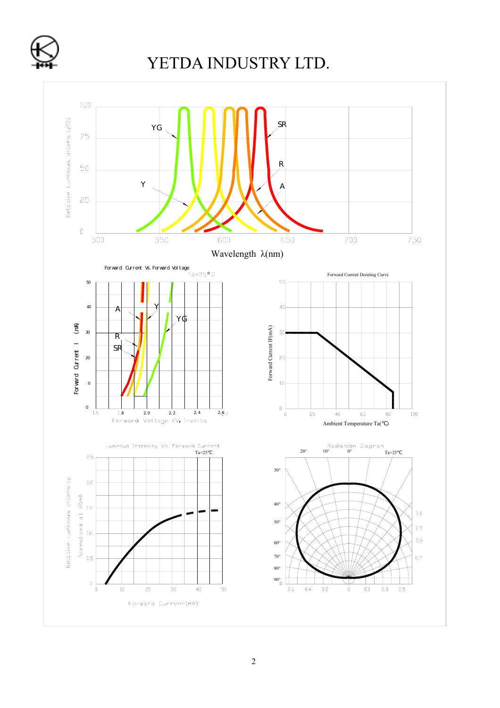

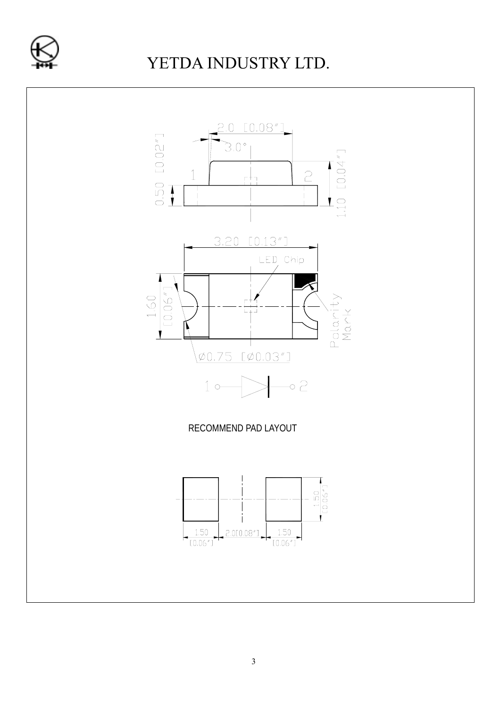

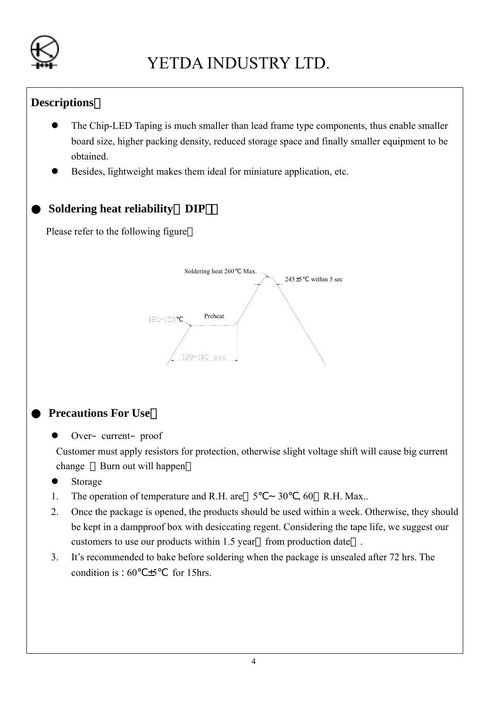

### **Descriptions**:

- The Chip-LED Taping is much smaller than lead frame type components, thus enable smaller board size, higher packing density, reduced storage space and finally smaller equipment to be obtained.
- Besides, lightweight makes them ideal for miniature application, etc.

### **Soldering heat reliability** DIP

Please refer to the following figure



### **Precautions For Use**

Over–current–proof

Customer must apply resistors for protection, otherwise slight voltage shift will cause big current change Burn out will happen

- $\bullet$  Storage
- 1. The operation of temperature and R.H. are 5℃∼30 , 60 R.H. Max..
- 2. Once the package is opened, the products should be used within a week. Otherwise, they should be kept in a dampproof box with desiccating regent. Considering the tape life, we suggest our customers to use our products within 1.5 year from production date.
- 3. It's recommended to bake before soldering when the package is unsealed after 72 hrs. The condition is :  $60 \pm 5$  for 15hrs.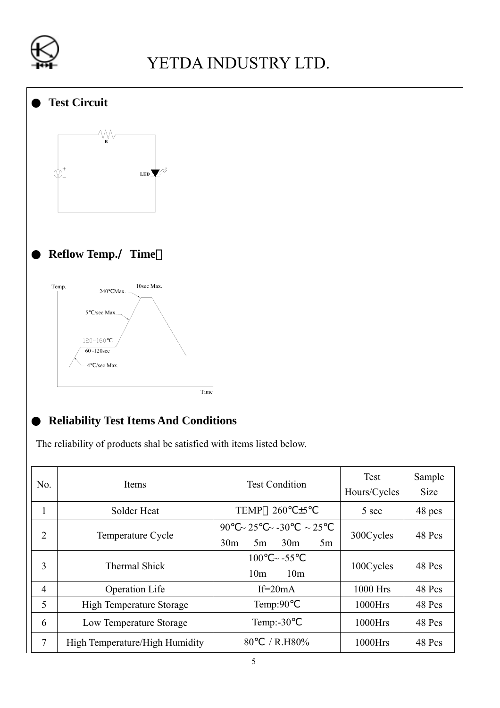



### ● **Reliability Test Items And Conditions**

The reliability of products shal be satisfied with items listed below.

| No.            | Items                           | <b>Test Condition</b>                                                                        | Test<br>Hours/Cycles | Sample<br><b>Size</b> |
|----------------|---------------------------------|----------------------------------------------------------------------------------------------|----------------------|-----------------------|
| $\mathbf{1}$   | Solder Heat                     | <b>TEMP</b><br>260<br>$\pm 5$                                                                | 5 sec                | 48 pcs                |
| $\overline{2}$ | Temperature Cycle               | 90<br>$\sim$ 25<br>$\sim$ -30<br>$\sim$ 25<br>30 <sub>m</sub><br>30 <sub>m</sub><br>5m<br>5m | 300Cycles            | 48 Pcs                |
| 3              | <b>Thermal Shick</b>            | 100<br>$\sim$ -55<br>10 <sub>m</sub><br>10 <sub>m</sub>                                      | 100Cycles            | 48 Pcs                |
| $\overline{4}$ | <b>Operation Life</b>           | If= $20mA$                                                                                   | 1000 Hrs             | 48 Pcs                |
| 5              | <b>High Temperature Storage</b> | Temp:90                                                                                      | $1000$ Hrs           | 48 Pcs                |
| 6              | Low Temperature Storage         | Temp: $-30$                                                                                  | $1000$ Hrs           | 48 Pcs                |
| 7              | High Temperature/High Humidity  | 80<br>$/$ R.H80%                                                                             | 1000Hrs              | 48 Pcs                |